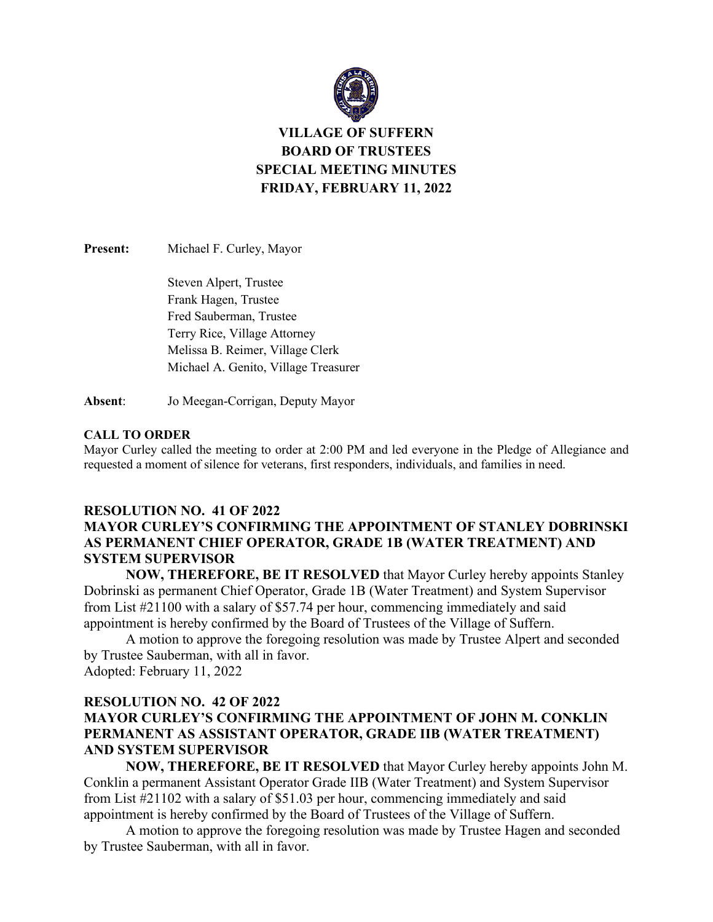

# **VILLAGE OF SUFFERN BOARD OF TRUSTEES SPECIAL MEETING MINUTES FRIDAY, FEBRUARY 11, 2022**

**Present:** Michael F. Curley, Mayor

Steven Alpert, Trustee Frank Hagen, Trustee Fred Sauberman, Trustee Terry Rice, Village Attorney Melissa B. Reimer, Village Clerk Michael A. Genito, Village Treasurer

**Absent**: Jo Meegan-Corrigan, Deputy Mayor

### **CALL TO ORDER**

Mayor Curley called the meeting to order at 2:00 PM and led everyone in the Pledge of Allegiance and requested a moment of silence for veterans, first responders, individuals, and families in need.

### **RESOLUTION NO. 41 OF 2022**

## **MAYOR CURLEY'S CONFIRMING THE APPOINTMENT OF STANLEY DOBRINSKI AS PERMANENT CHIEF OPERATOR, GRADE 1B (WATER TREATMENT) AND SYSTEM SUPERVISOR**

**NOW, THEREFORE, BE IT RESOLVED** that Mayor Curley hereby appoints Stanley Dobrinski as permanent Chief Operator, Grade 1B (Water Treatment) and System Supervisor from List #21100 with a salary of \$57.74 per hour, commencing immediately and said appointment is hereby confirmed by the Board of Trustees of the Village of Suffern.

A motion to approve the foregoing resolution was made by Trustee Alpert and seconded by Trustee Sauberman, with all in favor. Adopted: February 11, 2022

### **RESOLUTION NO. 42 OF 2022**

### **MAYOR CURLEY'S CONFIRMING THE APPOINTMENT OF JOHN M. CONKLIN PERMANENT AS ASSISTANT OPERATOR, GRADE IIB (WATER TREATMENT) AND SYSTEM SUPERVISOR**

**NOW, THEREFORE, BE IT RESOLVED** that Mayor Curley hereby appoints John M. Conklin a permanent Assistant Operator Grade IIB (Water Treatment) and System Supervisor from List #21102 with a salary of \$51.03 per hour, commencing immediately and said appointment is hereby confirmed by the Board of Trustees of the Village of Suffern.

A motion to approve the foregoing resolution was made by Trustee Hagen and seconded by Trustee Sauberman, with all in favor.